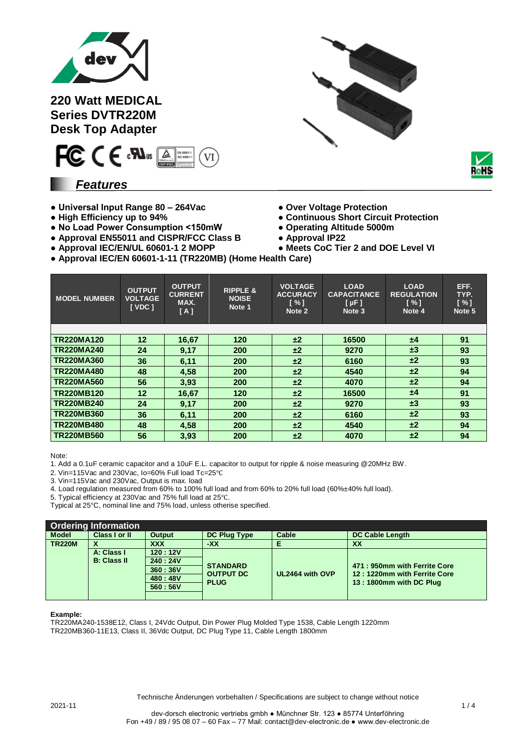

**220 Watt MEDICAL Series DVTR220M Desk Top Adapter**



### *Features*

- **Universal Input Range 80 – 264Vac Over Voltage Protection**
- 
- **No Load Power Consumption <150mW Operating Altitude 5000m**
- **● Approval EN55011 and CISPR/FCC Class B Approval IP22**
- **● Approval IEC/EN/UL 60601-1 2 MOPP Meets CoC Tier 2 and DOE Level VI**





- 
- **High Efficiency up to 94% Continuous Short Circuit Protection**
	-
	-
	-
- **Approval IEC/EN 60601-1-11 (TR220MB) (Home Health Care)**

| <b>MODEL NUMBER</b> | <b>OUTPUT</b><br><b>VOLTAGE</b><br>[VDC] | <b>OUTPUT</b><br><b>CURRENT</b><br>MAX.<br>[A] | <b>RIPPLE &amp;</b><br><b>NOISE</b><br>Note 1 | <b>VOLTAGE</b><br><b>ACCURACY</b><br>[%]<br>Note 2 | <b>LOAD</b><br><b>CAPACITANCE</b><br>[µF]<br>Note 3 | <b>LOAD</b><br><b>REGULATION</b><br>$N \sim 1$<br>Note 4 | EFF.<br>TYP.<br>[%]<br>Note 5 |
|---------------------|------------------------------------------|------------------------------------------------|-----------------------------------------------|----------------------------------------------------|-----------------------------------------------------|----------------------------------------------------------|-------------------------------|
|                     |                                          |                                                |                                               |                                                    |                                                     |                                                          |                               |
| <b>TR220MA120</b>   | $12 \overline{ }$                        | 16,67                                          | 120                                           | ±2                                                 | 16500                                               | ±4                                                       | 91                            |
| <b>TR220MA240</b>   | 24                                       | 9,17                                           | 200                                           | ±2                                                 | 9270                                                | $\pm 3$                                                  | 93                            |
| <b>TR220MA360</b>   | 36                                       | 6,11                                           | 200                                           | ±2                                                 | 6160                                                | ±2                                                       | 93                            |
| <b>TR220MA480</b>   | 48                                       | 4,58                                           | 200                                           | ±2                                                 | 4540                                                | ±2                                                       | 94                            |
| <b>TR220MA560</b>   | 56                                       | 3,93                                           | 200                                           | ±2                                                 | 4070                                                | ±2                                                       | 94                            |
| <b>TR220MB120</b>   | 12                                       | 16,67                                          | 120                                           | ±2                                                 | 16500                                               | ±4                                                       | 91                            |
| <b>TR220MB240</b>   | 24                                       | 9,17                                           | 200                                           | ±2                                                 | 9270                                                | $\pm 3$                                                  | 93                            |
| <b>TR220MB360</b>   | 36                                       | 6,11                                           | 200                                           | ±2                                                 | 6160                                                | ±2                                                       | 93                            |
| <b>TR220MB480</b>   | 48                                       | 4,58                                           | 200                                           | ±2                                                 | 4540                                                | ±2                                                       | 94                            |
| <b>TR220MB560</b>   | 56                                       | 3,93                                           | 200                                           | $\pm 2$                                            | 4070                                                | ±2                                                       | 94                            |

Note:

1. Add a 0.1uF ceramic capacitor and a 10uF E.L. capacitor to output for ripple & noise measuring @20MHz BW.

2. Vin=115Vac and 230Vac, Io=60% Full load Tc=25℃

3. Vin=115Vac and 230Vac, Output is max. load

4. Load regulation measured from 60% to 100% full load and from 60% to 20% full load (60%±40% full load).

5. Typical efficiency at 230Vac and 75% full load at 25℃.

Typical at 25°C, nominal line and 75% load, unless otherise specified.

| <b>Ordering Information</b>      |               |               |                                 |                 |                                                              |  |  |
|----------------------------------|---------------|---------------|---------------------------------|-----------------|--------------------------------------------------------------|--|--|
| <b>Model</b>                     | Class I or II | <b>Output</b> | <b>DC Plug Type</b>             | Cable           | <b>DC Cable Length</b>                                       |  |  |
| <b>TR220M</b>                    | X             | <b>XXX</b>    | -XX                             |                 | XX                                                           |  |  |
| A: Class I<br><b>B: Class II</b> |               | 120:12V       |                                 |                 |                                                              |  |  |
|                                  |               | 240:24V       | <b>STANDARD</b>                 | UL2464 with OVP | 471: 950mm with Ferrite Core<br>12: 1220mm with Ferrite Core |  |  |
|                                  |               | 360:36V       |                                 |                 |                                                              |  |  |
|                                  |               | 480:48V       | <b>OUTPUT DC</b><br><b>PLUG</b> |                 | 13: 1800mm with DC Plug                                      |  |  |
|                                  |               | 560:56V       |                                 |                 |                                                              |  |  |
|                                  |               |               |                                 |                 |                                                              |  |  |

#### **Example:**

TR220MA240-1538E12, Class I, 24Vdc Output, Din Power Plug Molded Type 1538, Cable Length 1220mm TR220MB360-11E13, Class II, 36Vdc Output, DC Plug Type 11, Cable Length 1800mm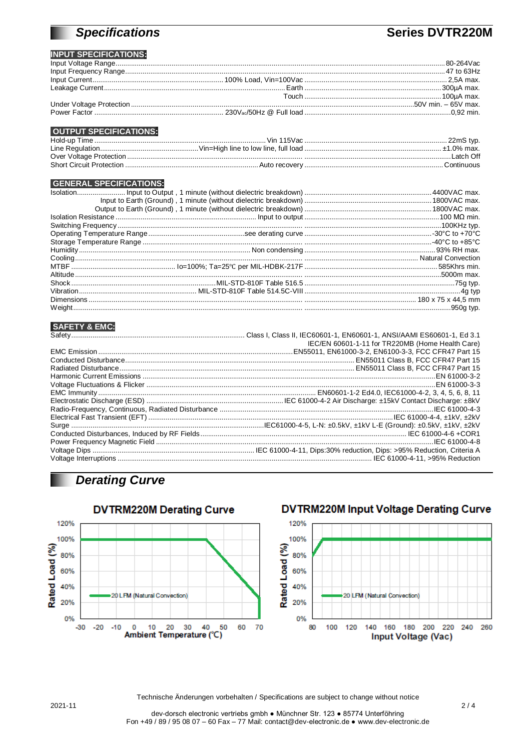# **Specifications**

## **Series DVTR220M**

### **INPUT SPECIFICATIONS:**

| <b>OUTPUT SPECIFICATIONS:</b> |  |
|-------------------------------|--|

#### Short Circuit Protection .........

#### **GENERAL SPECIFICATIONS:**

#### **SAFFTY & FMC:**

| IEC/EN 60601-1-11 for TR220MB (Home Health Care) |
|--------------------------------------------------|
|                                                  |
|                                                  |
|                                                  |
|                                                  |
|                                                  |
|                                                  |
|                                                  |
|                                                  |
|                                                  |
|                                                  |
|                                                  |
|                                                  |
|                                                  |
|                                                  |
|                                                  |
|                                                  |

### **Derating Curve**



### **DVTRM220M Input Voltage Derating Curve**

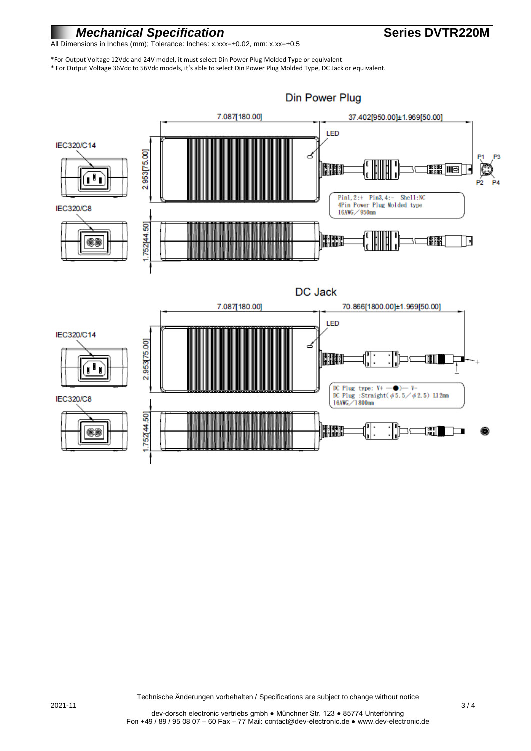### *Mechanical Specification* **CONSISTS Series DVTR220M**

All Dimensions in Inches (mm); Tolerance: Inches: x.xxx=±0.02, mm: x.xx=±0.5

\*For Output Voltage 12Vdc and 24V model, it must select Din Power Plug Molded Type or equivalent \* For Output Voltage 36Vdc to 56Vdc models, it's able to select Din Power Plug Molded Type, DC Jack or equivalent.